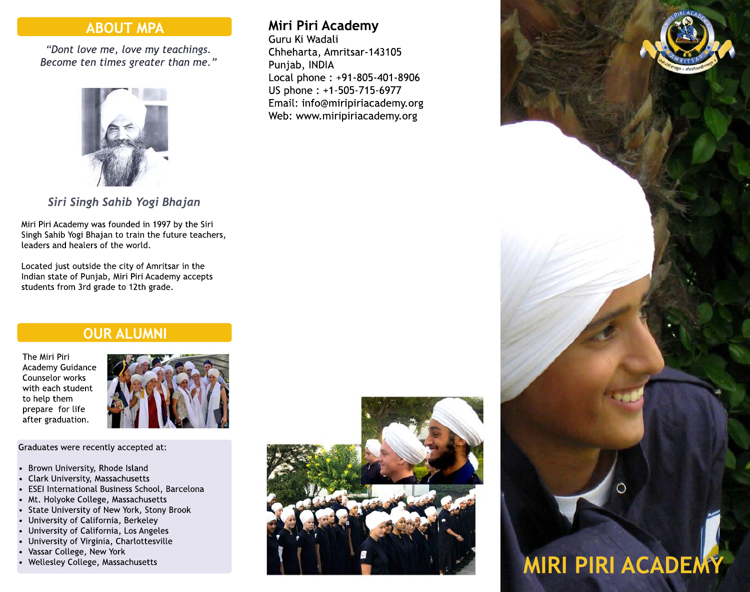# **ABOUT MPA**

*"Dont love me, love my teachings. Become ten times greater than me."*



*Siri Singh Sahib Yogi Bhajan*

Miri Piri Academy was founded in 1997 by the Siri Singh Sahib Yogi Bhajan to train the future teachers, leaders and healers of the world.

Located just outside the city of Amritsar in the Indian state of Punjab, Miri Piri Academy accepts students from 3rd grade to 12th grade.

# **OUR ALUMNI**

The Miri Piri Academy Guidance Counselor works with each student to help them prepare for life after graduation.



Graduates were recently accepted at:

- Brown University, Rhode Island
- Clark University, Massachusetts
- ESEI International Business School, Barcelona
- Mt. Holyoke College, Massachusetts
- State University of New York, Stony Brook
- University of California, Berkeley
- University of California, Los Angeles
- University of Virginia, Charlottesville
- Vassar College, New York
- Wellesley College, Massachusetts

# **Miri Piri Academy**

Guru Ki Wadali Chheharta, Amritsar-143105 Punjab, INDIA Local phone : +91-805-401-8906 US phone : +1-505-715-6977 Email: info@miripiriacademy.org Web: www.miripiriacademy.org



# **MIRI PIRI ACADEMY**